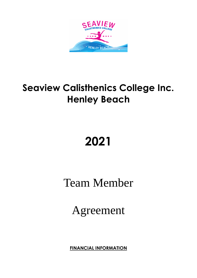

# **Seaview Calisthenics College Inc. Henley Beach**

# **2021**

Team Member

Agreement

**FINANCIAL INFORMATION**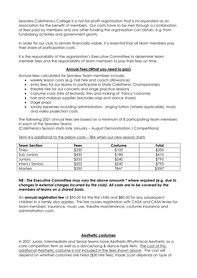Seaview Calisthenics College is a not-for-profit organisation that is incorporated as an association for the benefit of members. Our costs have to be met through a combination of fees paid by members and any other funding the organisation can obtain, e.g. from fundraising activities and government grants.

In order for our club to remain financially viable, it is essential that all team members pay their share of participation costs.

It is the responsibility of the organisation's Executive Committee to determine team member fees and the responsibility of team members to pay their fees on time.

# **Annual Fees (What you need to pay)**

Annual fees calculated for Seaview Team members include:

- weekly lesson costs (e.g. hall hire and coach allowance)
- entry fees for our teams to participate in State Calisthenic Championships
- theatre hire for our concerts and stage practice sessions
- costume costs (hire of leotards, trim and making of 'Fancy'costume)
- hair and makeup supplies (excludes wigs and dance shoes)
- stage props
- sundry expenses including administration, singing tuition (where applicable), music and video projection costs.

The following 2021 annual fees are based on a minimum of 8 participating team members in each of the Seaview Teams.

(Calisthenics Season starts late January – August Demonstration / Competitions)

| <b>Team Section</b> | Fees  | Costume | Total  |
|---------------------|-------|---------|--------|
| <b>Tinies</b>       | \$250 | \$100   | \$350  |
| Sub Juniors         | \$430 | \$180   | \$610  |
| <b>Juniors</b>      | \$555 | \$240   | \$795  |
| Inters / Seniors    | \$555 | \$240   | \$795  |
| <b>Masters</b>      | \$350 | TBA*    | \$350* |

Term 4 is additional to the below costs – TBA when our new season starts

# *NB : The Executive Committee may vary the above amounts \* where required (e.g. due to changes in external charges incurred by the club). All costs are to be covered by the members of teams on a shared basis.*

An **annual registration fee** of \$95.00 for the first child and \$80.00 for any subsequent children in a family also applies. This fee covers registration with CASA and CASA levies for team members' insurance, music use, theatre maintenance, costume insurance and administration costs.

### **Aesthetic costumes**

In 2021 Junior, Intermediate and Senior teams have Aesthetic/Rhythmical Aesthetic as a core competition item as well as a dance/song & dance-type item. The cost of this additional Aesthetic costume is not included in the fees shown above. The cost will depend on whether costumes are hired (\$30 hire fee), made (cost depends on type of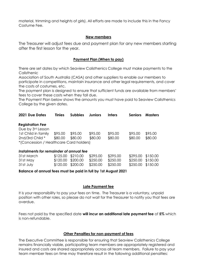material, trimming and heights of girls). All efforts are made to include this in the Fancy Costume Fee.

#### **New members**

The Treasurer will adjust fees due and payment plan for any new members starting after the first lesson for the year.

### **Payment Plan (When to pay)**

There are set dates by which Seaview Calisthenics College must make payments to the **Calisthenic** 

Association of South Australia (CASA) and other suppliers to enable our members to participate in competitions, maintain insurance and other legal requirements, and cover the costs of costumes, etc.

The payment plan is designed to ensure that sufficient funds are available from members' fees to cover these costs when they fall due.

The Payment Plan below shows the amounts you must have paid to Seaview Calisthenics College by the given dates.

| <b>2021 Due Dates</b>                   | <b>Tinies</b> | <b>Subbies</b> | <b>Juniors</b> | <b>Inters</b> | <b>Seniors</b> | <b>Masters</b> |
|-----------------------------------------|---------------|----------------|----------------|---------------|----------------|----------------|
| <b>Registration Fee</b>                 |               |                |                |               |                |                |
| Due by 3rd Lesson                       |               |                |                |               |                |                |
| 1st Child in family                     | \$95.00       | \$95.00        | \$95.00        | \$95.00       | \$95.00        | \$95.00        |
| 2nd/3rd Child *                         | \$80.00       | \$80.00        | \$80.00        | \$80.00       | \$80.00        | \$80.00        |
| *(Concession / Healthcare Card holders) |               |                |                |               |                |                |
| Instalments for remainder of annual fee |               |                |                |               |                |                |
| 31st March                              | \$125.00      | \$210.00       | \$295.00       | \$295.00      | \$295.00       | \$150.00       |
| 31st May                                | \$120.00      | \$200.00       | \$250.00       | \$250.00      | \$250.00       | \$150.00       |

31st July \$120.00 \$200.00 \$250.00 \$250.00 \$250.00 \$150.00

**Balance of annual fees must be paid in full by 1st August 2021**

### **Late Payment fee**

It is your responsibility to pay your fees on time. The Treasurer is a voluntary, unpaid position with other roles, so please do not wait for the Treasurer to notify you that fees are overdue.

Fees not paid by the specified date **will incur an additional late payment fee** of **5%** which is non-refundable.

### **Other Penalties for non-payment of fees**

The Executive Committee is responsible for ensuring that Seaview Calisthenics College remains financially viable, participating team members are appropriately registered and insured and costs are shared appropriately across all team members. Failure to pay your team member fees on time may therefore result in the following additional penalties: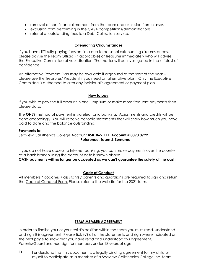- removal of non-financial member from the team and exclusion from classes
- exclusion from performing in the CASA competitions/demonstrations
- referral of outstanding fees to a Debt Collection service.

# **Extenuating Circumstances**

If you have difficulty paying fees on time due to personal extenuating circumstances, please advise the Team Official (if applicable) or Treasurer immediately who will advise the Executive Committee of your situation. The matter will be investigated in the strictest of confidence.

An alternative Payment Plan may be available if organised at the start of the year – please see the Treasurer/ President if you need an alternative plan. Only the Executive Committee is authorised to alter any individual's agreement or payment plan.

#### **How to pay**

If you wish to pay the full amount in one lump sum or make more frequent payments then please do so.

The **ONLY** method of payment is via electronic banking. Adjustments and credits will be done accordingly. You will receive periodic statements that will show how much you have paid to date and the balance outstanding.

#### **Payments to:**

Seaview Calisthenics College Account **BSB 065 111 Account # 0090 0792 Reference: Team & Surname**

If you do not have access to Internet banking, you can make payments over the counter at a bank branch using the account details shown above.

### **CASH payments will no longer be accepted as we can't guarantee the safety of the cash**

### **Code of Conduct**

All members / coaches / assistants / parents and guardians are required to sign and return the Code of Conduct Form. Please refer to the website for the 2021 form.

### **TEAM MEMBER AGREEMENT**

In order to finalise your or your child's position within the team you must read, understand and sign this agreement. Please tick (**√**) all of the statements and sign where indicated on the next page to show that you have read and understood this agreement. Parents/Guardians must sign for members under 18 years of age.

 $\Box$  I understand that this document is a legally binding agreement for my child or myself to participate as a member of a Seaview Calisthenics College Inc. team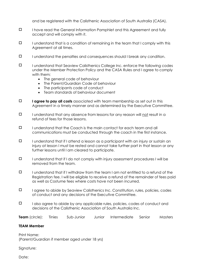and be registered with the Calisthenic Association of South Australia (CASA).

- I have read the General Information Pamphlet and this Agreement and fully accept and will comply with it.
- $\Box$  I understand that is a condition of remaining in the team that I comply with this Agreement at all times.
- $\Box$  I understand the penalties and consequences should I break any condition.
- $\Box$  I understand that Seaview Calisthenics College Inc. enforce the following codes under the Member Protection Policy and the CASA Rules and I agree to comply with them:
	- The general code of behaviour
	- The Parent/Guardian Code of behaviour
	- The participants code of conduct
	- Team standards of behaviour document
- **I agree to pay all costs** associated with team membership as set out in this Agreement in a timely manner and as determined by the Executive Committee.
- $\square$  I understand that any absence from lessons for any reason will not result in a refund of fees for those lessons.
- $\Box$  I understand that the Coach is the main contact for each team and all communications must be conducted through the coach in the first instance.
- $\square$  I understand that if I attend a lesson as a participant with an injury or sustain an injury at lesson I must be rested and cannot take further part in that lesson or any further lessons until I am cleared to participate.
- $\square$  I understand that if I do not comply with injury assessment procedures I will be removed from the team.
- $\square$  I understand that if I withdraw from the team I am not entitled to a refund of the Registration fee. I will be eligible to receive a refund of the remainder of fees paid as well as Costume fees where costs have not been incurred.
- $\Box$  I agree to abide by Seaview Calisthenics Inc. Constitution, rules, policies, codes of conduct and any decisions of the Executive Committee.
- $\Box$  I also agree to abide by any applicable rules, policies, codes of conduct and decisions of the Calisthenic Association of South Australia Inc.

**Team** (circle): Tinies Sub-Junior Junior Intermediate Senior Masters

#### **TEAM Member**

Print Name: (Parent/Guardian if member aged under 18 yrs)

Signature:

Date: